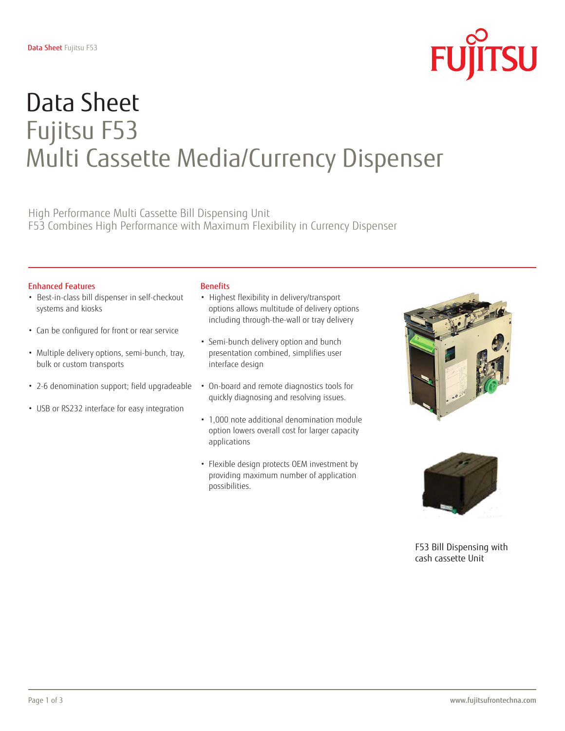

# Data Sheet Fujitsu F53 Multi Cassette Media/Currency Dispenser

High Performance Multi Cassette Bill Dispensing Unit F53 Combines High Performance with Maximum Flexibility in Currency Dispenser

### Enhanced Features

- Best-in-class bill dispenser in self-checkout systems and kiosks
- Can be configured for front or rear service
- Multiple delivery options, semi-bunch, tray, bulk or custom transports
- 2-6 denomination support; field upgradeable
- USB or RS232 interface for easy integration

#### **Benefits**

- Highest flexibility in delivery/transport options allows multitude of delivery options including through-the-wall or tray delivery
- Semi-bunch delivery option and bunch presentation combined, simplifies user interface design
- On-board and remote diagnostics tools for quickly diagnosing and resolving issues.
- 1,000 note additional denomination module option lowers overall cost for larger capacity applications
- Flexible design protects OEM investment by providing maximum number of application possibilities.





F53 Bill Dispensing with cash cassette Unit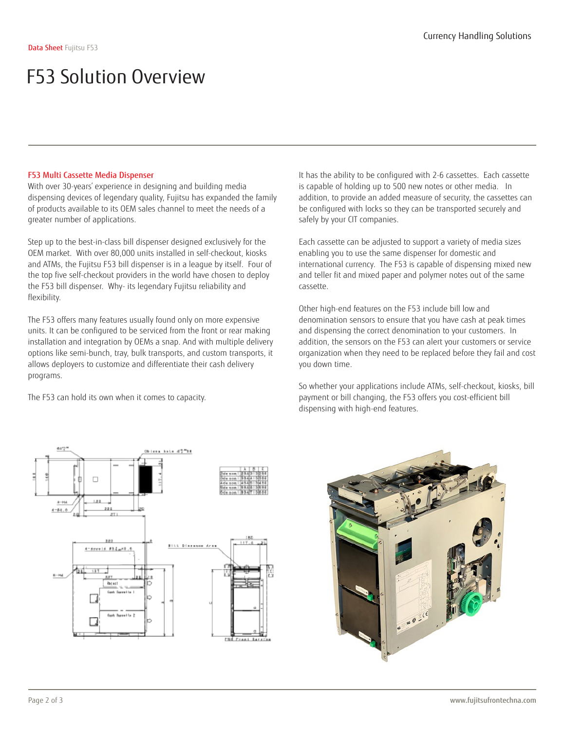## F53 Multi Cassette Media Dispenser

With over 30-years' experience in designing and building media dispensing devices of legendary quality, Fujitsu has expanded the family of products available to its OEM sales channel to meet the needs of a greater number of applications.

Step up to the best-in-class bill dispenser designed exclusively for the OEM market. With over 80,000 units installed in self-checkout, kiosks and ATMs, the Fujitsu F53 bill dispenser is in a league by itself. Four of the top five self-checkout providers in the world have chosen to deploy the F53 bill dispenser. Why- its legendary Fujitsu reliability and flexibility.

The F53 offers many features usually found only on more expensive units. It can be configured to be serviced from the front or rear making installation and integration by OEMs a snap. And with multiple delivery options like semi-bunch, tray, bulk transports, and custom transports, it allows deployers to customize and differentiate their cash delivery programs.

The F53 can hold its own when it comes to capacity.

It has the ability to be configured with 2-6 cassettes. Each cassette is capable of holding up to 500 new notes or other media. In addition, to provide an added measure of security, the cassettes can be configured with locks so they can be transported securely and safely by your CIT companies.

Each cassette can be adjusted to support a variety of media sizes enabling you to use the same dispenser for domestic and international currency. The F53 is capable of dispensing mixed new and teller fit and mixed paper and polymer notes out of the same cassette.

Other high-end features on the F53 include bill low and denomination sensors to ensure that you have cash at peak times and dispensing the correct denomination to your customers. In addition, the sensors on the F53 can alert your customers or service organization when they need to be replaced before they fail and cost you down time.

So whether your applications include ATMs, self-checkout, kiosks, bill payment or bill changing, the F53 offers you cost-efficient bill dispensing with high-end features.